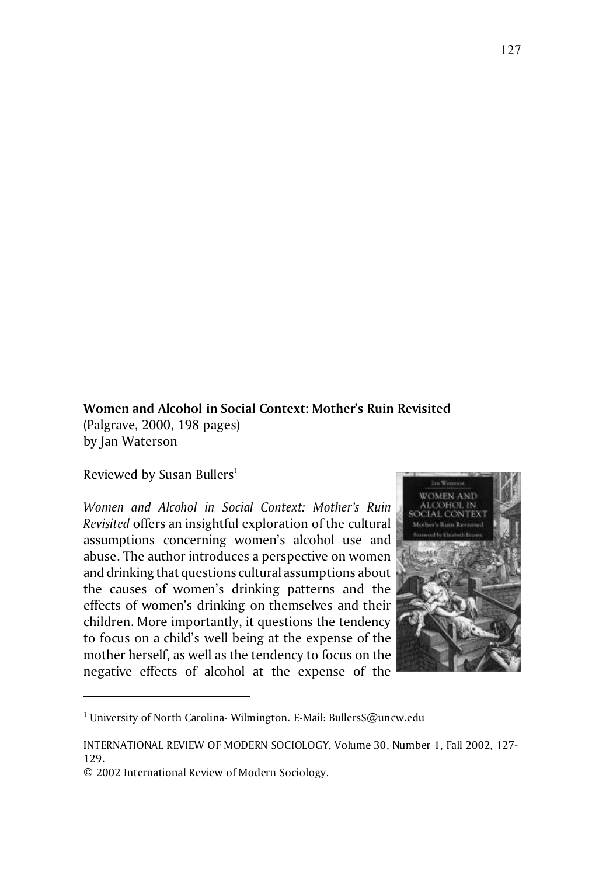## **Women and Alcohol in Social Context: Mother's Ruin Revisited** (Palgrave, 2000, 198 pages) by Jan Waterson

Reviewed by Susan Bullers<sup>1</sup>

*Women and Alcohol in Social Context: Mother's Ruin Revisited* offers an insightful exploration of the cultural assumptions concerning women's alcohol use and abuse. The author introduces a perspective on women and drinking that questions cultural assumptions about the causes of women's drinking patterns and the effects of women's drinking on themselves and their children. More importantly, it questions the tendency to focus on a child's well being at the expense of the mother herself, as well as the tendency to focus on the negative effects of alcohol at the expense of the



 $^1$  University of North Carolina- Wilmington. E-Mail: BullersS@uncw.edu

INTERNATIONAL REVIEW OF MODERN SOCIOLOGY, Volume 30, Number 1, Fall 2002, 127- 129.

<sup>© 2002</sup> International Review of Modern Sociology.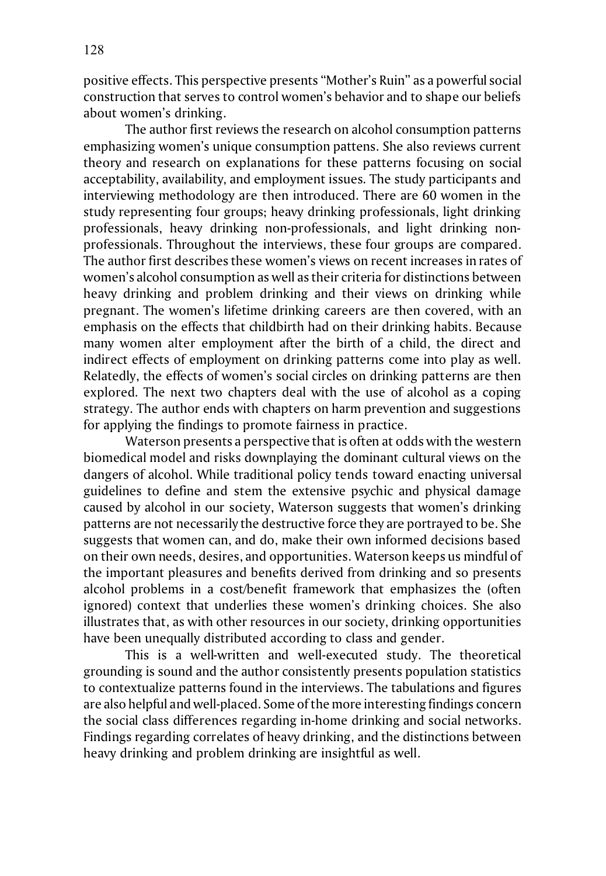positive effects. This perspective presents "Mother's Ruin" as a powerful social construction that serves to control women's behavior and to shape our beliefs about women's drinking.

The author first reviews the research on alcohol consumption patterns emphasizing women's unique consumption pattens. She also reviews current theory and research on explanations for these patterns focusing on social acceptability, availability, and employment issues. The study participants and interviewing methodology are then introduced. There are 60 women in the study representing four groups; heavy drinking professionals, light drinking professionals, heavy drinking non-professionals, and light drinking nonprofessionals. Throughout the interviews, these four groups are compared. The author first describes these women's views on recent increases in rates of women's alcohol consumption as well as their criteria for distinctions between heavy drinking and problem drinking and their views on drinking while pregnant. The women's lifetime drinking careers are then covered, with an emphasis on the effects that childbirth had on their drinking habits. Because many women alter employment after the birth of a child, the direct and indirect effects of employment on drinking patterns come into play as well. Relatedly, the effects of women's social circles on drinking patterns are then explored. The next two chapters deal with the use of alcohol as a coping strategy. The author ends with chapters on harm prevention and suggestions for applying the findings to promote fairness in practice.

Waterson presents a perspective that is often at odds with the western biomedical model and risks downplaying the dominant cultural views on the dangers of alcohol. While traditional policy tends toward enacting universal guidelines to define and stem the extensive psychic and physical damage caused by alcohol in our society, Waterson suggests that women's drinking patterns are not necessarily the destructive force they are portrayed to be. She suggests that women can, and do, make their own informed decisions based on their own needs, desires, and opportunities. Waterson keeps us mindful of the important pleasures and benefits derived from drinking and so presents alcohol problems in a cost/benefit framework that emphasizes the (often ignored) context that underlies these women's drinking choices. She also illustrates that, as with other resources in our society, drinking opportunities have been unequally distributed according to class and gender.

This is a well-written and well-executed study. The theoretical grounding is sound and the author consistently presents population statistics to contextualize patterns found in the interviews. The tabulations and figures are also helpful and well-placed. Some of the more interesting findings concern the social class differences regarding in-home drinking and social networks. Findings regarding correlates of heavy drinking, and the distinctions between heavy drinking and problem drinking are insightful as well.